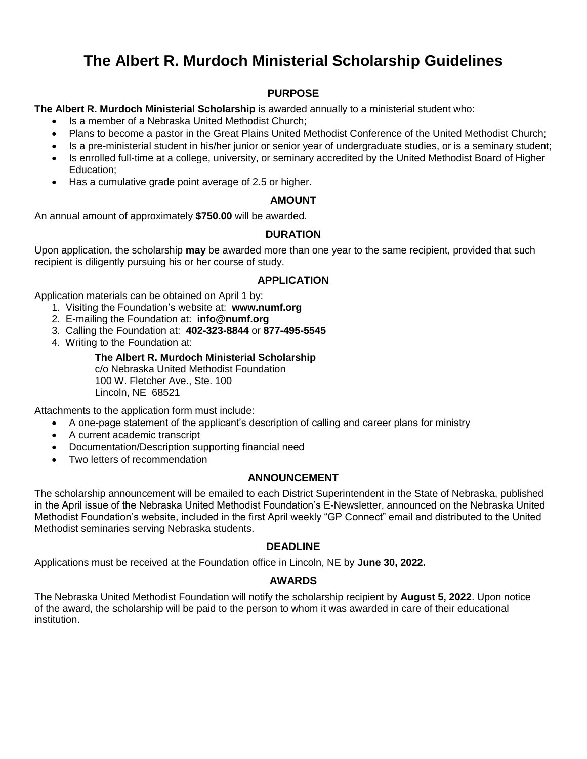# **The Albert R. Murdoch Ministerial Scholarship Guidelines**

## **PURPOSE**

**The Albert R. Murdoch Ministerial Scholarship** is awarded annually to a ministerial student who:

- Is a member of a Nebraska United Methodist Church;
- Plans to become a pastor in the Great Plains United Methodist Conference of the United Methodist Church;
- Is a pre-ministerial student in his/her junior or senior year of undergraduate studies, or is a seminary student;
- Is enrolled full-time at a college, university, or seminary accredited by the United Methodist Board of Higher Education;
- Has a cumulative grade point average of 2.5 or higher.

### **AMOUNT**

An annual amount of approximately **\$750.00** will be awarded.

## **DURATION**

Upon application, the scholarship **may** be awarded more than one year to the same recipient, provided that such recipient is diligently pursuing his or her course of study.

### **APPLICATION**

Application materials can be obtained on April 1 by:

- 1. Visiting the Foundation's website at: **www.numf.org**
- 2. E-mailing the Foundation at: **info@numf.org**
- 3. Calling the Foundation at: **402-323-8844** or **877-495-5545**
- 4. Writing to the Foundation at:

### **The Albert R. Murdoch Ministerial Scholarship**

c/o Nebraska United Methodist Foundation 100 W. Fletcher Ave., Ste. 100 Lincoln, NE 68521

Attachments to the application form must include:

- A one-page statement of the applicant's description of calling and career plans for ministry
- A current academic transcript
- Documentation/Description supporting financial need
- Two letters of recommendation

## **ANNOUNCEMENT**

The scholarship announcement will be emailed to each District Superintendent in the State of Nebraska, published in the April issue of the Nebraska United Methodist Foundation's E-Newsletter, announced on the Nebraska United Methodist Foundation's website, included in the first April weekly "GP Connect" email and distributed to the United Methodist seminaries serving Nebraska students.

#### **DEADLINE**

Applications must be received at the Foundation office in Lincoln, NE by **June 30, 2022.** 

#### **AWARDS**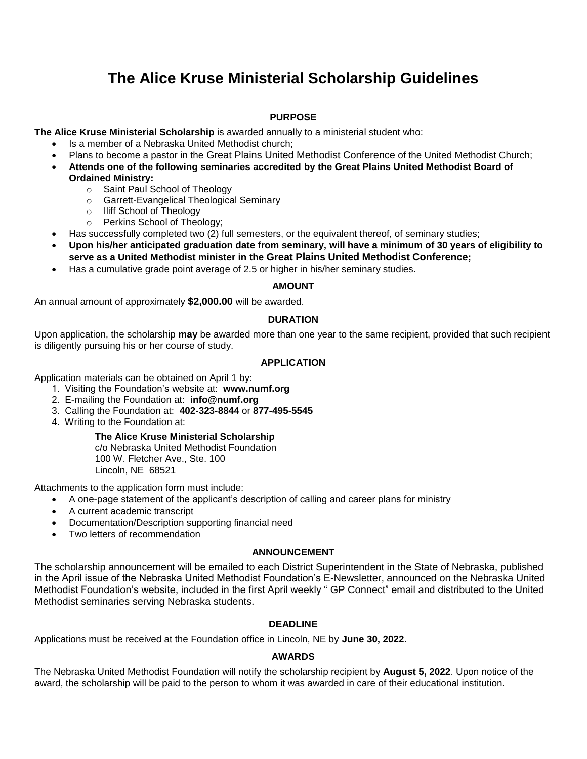# **The Alice Kruse Ministerial Scholarship Guidelines**

### **PURPOSE**

**The Alice Kruse Ministerial Scholarship** is awarded annually to a ministerial student who:

- Is a member of a Nebraska United Methodist church;
- Plans to become a pastor in the Great Plains United Methodist Conference of the United Methodist Church;
- **Attends one of the following seminaries accredited by the Great Plains United Methodist Board of Ordained Ministry:**
	- o Saint Paul School of Theology
	- o Garrett-Evangelical Theological Seminary
	- o Iliff School of Theology
	- o Perkins School of Theology;
- Has successfully completed two (2) full semesters, or the equivalent thereof, of seminary studies;
- **Upon his/her anticipated graduation date from seminary, will have a minimum of 30 years of eligibility to serve as a United Methodist minister in the Great Plains United Methodist Conference;**
- Has a cumulative grade point average of 2.5 or higher in his/her seminary studies.

#### **AMOUNT**

An annual amount of approximately **\$2,000.00** will be awarded.

#### **DURATION**

Upon application, the scholarship **may** be awarded more than one year to the same recipient, provided that such recipient is diligently pursuing his or her course of study.

#### **APPLICATION**

Application materials can be obtained on April 1 by:

- 1. Visiting the Foundation's website at: **www.numf.org**
- 2. E-mailing the Foundation at: **info@numf.org**
- 3. Calling the Foundation at: **402-323-8844** or **877-495-5545**
- 4. Writing to the Foundation at:

#### **The Alice Kruse Ministerial Scholarship**

c/o Nebraska United Methodist Foundation 100 W. Fletcher Ave., Ste. 100 Lincoln, NE 68521

Attachments to the application form must include:

- A one-page statement of the applicant's description of calling and career plans for ministry
	- A current academic transcript
- Documentation/Description supporting financial need
- Two letters of recommendation

#### **ANNOUNCEMENT**

The scholarship announcement will be emailed to each District Superintendent in the State of Nebraska, published in the April issue of the Nebraska United Methodist Foundation's E-Newsletter, announced on the Nebraska United Methodist Foundation's website, included in the first April weekly " GP Connect" email and distributed to the United Methodist seminaries serving Nebraska students.

#### **DEADLINE**

Applications must be received at the Foundation office in Lincoln, NE by **June 30, 2022.** 

#### **AWARDS**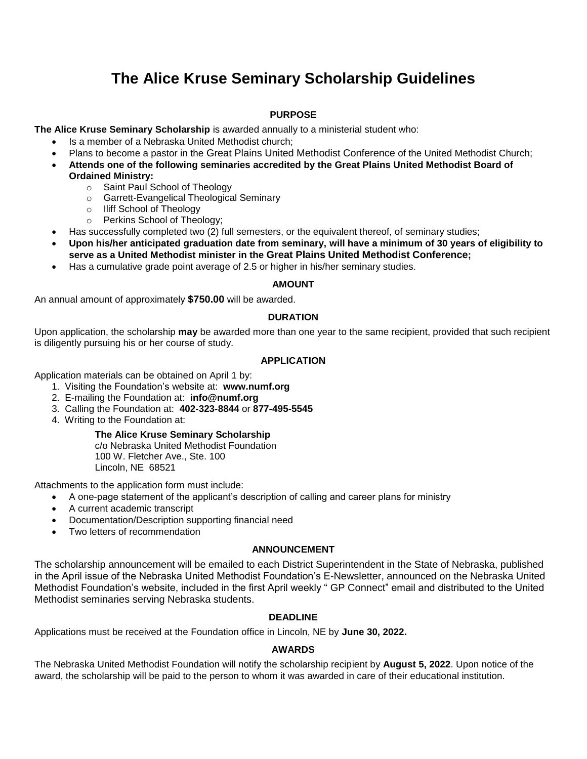# **The Alice Kruse Seminary Scholarship Guidelines**

#### **PURPOSE**

**The Alice Kruse Seminary Scholarship** is awarded annually to a ministerial student who:

- Is a member of a Nebraska United Methodist church;
- Plans to become a pastor in the Great Plains United Methodist Conference of the United Methodist Church;
- **Attends one of the following seminaries accredited by the Great Plains United Methodist Board of Ordained Ministry:**
	- o Saint Paul School of Theology
	- o Garrett-Evangelical Theological Seminary
	- o Iliff School of Theology
	- o Perkins School of Theology;
- Has successfully completed two (2) full semesters, or the equivalent thereof, of seminary studies;
- **Upon his/her anticipated graduation date from seminary, will have a minimum of 30 years of eligibility to serve as a United Methodist minister in the Great Plains United Methodist Conference;**
- Has a cumulative grade point average of 2.5 or higher in his/her seminary studies.

### **AMOUNT**

An annual amount of approximately **\$750.00** will be awarded.

### **DURATION**

Upon application, the scholarship **may** be awarded more than one year to the same recipient, provided that such recipient is diligently pursuing his or her course of study.

### **APPLICATION**

Application materials can be obtained on April 1 by:

- 1. Visiting the Foundation's website at: **www.numf.org**
- 2. E-mailing the Foundation at: **info@numf.org**
- 3. Calling the Foundation at: **402-323-8844** or **877-495-5545**
- 4. Writing to the Foundation at:

## **The Alice Kruse Seminary Scholarship**

c/o Nebraska United Methodist Foundation 100 W. Fletcher Ave., Ste. 100 Lincoln, NE 68521

Attachments to the application form must include:

- A one-page statement of the applicant's description of calling and career plans for ministry
- A current academic transcript
- Documentation/Description supporting financial need
- Two letters of recommendation

#### **ANNOUNCEMENT**

The scholarship announcement will be emailed to each District Superintendent in the State of Nebraska, published in the April issue of the Nebraska United Methodist Foundation's E-Newsletter, announced on the Nebraska United Methodist Foundation's website, included in the first April weekly " GP Connect" email and distributed to the United Methodist seminaries serving Nebraska students.

#### **DEADLINE**

Applications must be received at the Foundation office in Lincoln, NE by **June 30, 2022.** 

## **AWARDS**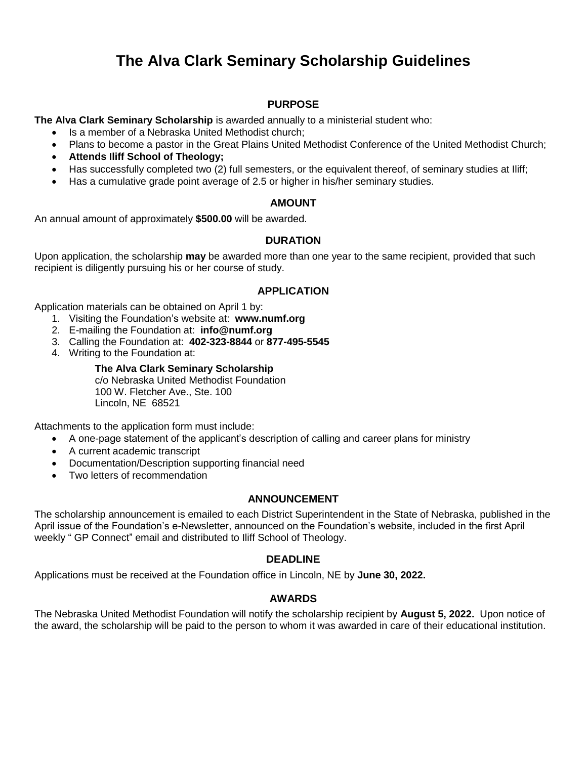# **The Alva Clark Seminary Scholarship Guidelines**

## **PURPOSE**

**The Alva Clark Seminary Scholarship** is awarded annually to a ministerial student who:

- Is a member of a Nebraska United Methodist church;
- Plans to become a pastor in the Great Plains United Methodist Conference of the United Methodist Church;
- **Attends Iliff School of Theology;**
- Has successfully completed two (2) full semesters, or the equivalent thereof, of seminary studies at Iliff;
- Has a cumulative grade point average of 2.5 or higher in his/her seminary studies.

### **AMOUNT**

An annual amount of approximately **\$500.00** will be awarded.

## **DURATION**

Upon application, the scholarship **may** be awarded more than one year to the same recipient, provided that such recipient is diligently pursuing his or her course of study.

### **APPLICATION**

Application materials can be obtained on April 1 by:

- 1. Visiting the Foundation's website at: **www.numf.org**
- 2. E-mailing the Foundation at: **info@numf.org**
- 3. Calling the Foundation at: **402-323-8844** or **877-495-5545**
- 4. Writing to the Foundation at:

### **The Alva Clark Seminary Scholarship**

c/o Nebraska United Methodist Foundation 100 W. Fletcher Ave., Ste. 100 Lincoln, NE 68521

Attachments to the application form must include:

- A one-page statement of the applicant's description of calling and career plans for ministry
- A current academic transcript
- Documentation/Description supporting financial need
- Two letters of recommendation

#### **ANNOUNCEMENT**

The scholarship announcement is emailed to each District Superintendent in the State of Nebraska, published in the April issue of the Foundation's e-Newsletter, announced on the Foundation's website, included in the first April weekly " GP Connect" email and distributed to Iliff School of Theology.

#### **DEADLINE**

Applications must be received at the Foundation office in Lincoln, NE by **June 30, 2022.** 

#### **AWARDS**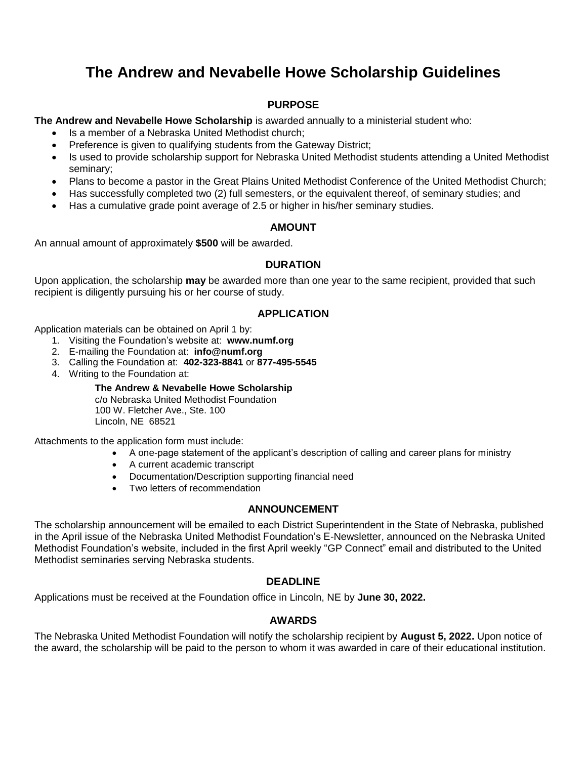# **The Andrew and Nevabelle Howe Scholarship Guidelines**

## **PURPOSE**

**The Andrew and Nevabelle Howe Scholarship** is awarded annually to a ministerial student who:

- Is a member of a Nebraska United Methodist church;
- Preference is given to qualifying students from the Gateway District;
- Is used to provide scholarship support for Nebraska United Methodist students attending a United Methodist seminary;
- Plans to become a pastor in the Great Plains United Methodist Conference of the United Methodist Church;
- Has successfully completed two (2) full semesters, or the equivalent thereof, of seminary studies; and
- Has a cumulative grade point average of 2.5 or higher in his/her seminary studies.

## **AMOUNT**

An annual amount of approximately **\$500** will be awarded.

### **DURATION**

Upon application, the scholarship **may** be awarded more than one year to the same recipient, provided that such recipient is diligently pursuing his or her course of study.

### **APPLICATION**

Application materials can be obtained on April 1 by:

- 1. Visiting the Foundation's website at: **www.numf.org**
- 2. E-mailing the Foundation at: **info@numf.org**
- 3. Calling the Foundation at: **402-323-8841** or **877-495-5545**
- 4. Writing to the Foundation at:

#### **The Andrew & Nevabelle Howe Scholarship**

c/o Nebraska United Methodist Foundation 100 W. Fletcher Ave., Ste. 100 Lincoln, NE 68521

Attachments to the application form must include:

- A one-page statement of the applicant's description of calling and career plans for ministry
- A current academic transcript
- Documentation/Description supporting financial need
- Two letters of recommendation

#### **ANNOUNCEMENT**

The scholarship announcement will be emailed to each District Superintendent in the State of Nebraska, published in the April issue of the Nebraska United Methodist Foundation's E-Newsletter, announced on the Nebraska United Methodist Foundation's website, included in the first April weekly "GP Connect" email and distributed to the United Methodist seminaries serving Nebraska students.

#### **DEADLINE**

Applications must be received at the Foundation office in Lincoln, NE by **June 30, 2022.**

#### **AWARDS**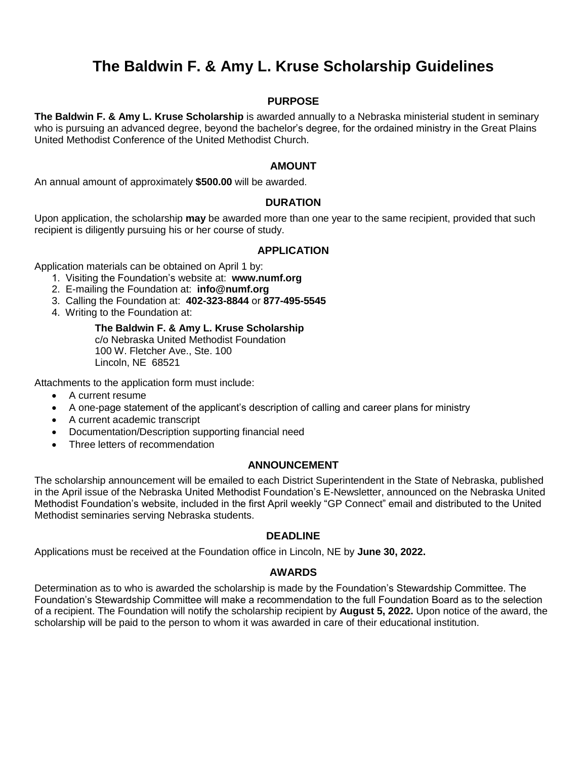# **The Baldwin F. & Amy L. Kruse Scholarship Guidelines**

### **PURPOSE**

**The Baldwin F. & Amy L. Kruse Scholarship** is awarded annually to a Nebraska ministerial student in seminary who is pursuing an advanced degree, beyond the bachelor's degree, for the ordained ministry in the Great Plains United Methodist Conference of the United Methodist Church.

#### **AMOUNT**

An annual amount of approximately **\$500.00** will be awarded.

#### **DURATION**

Upon application, the scholarship **may** be awarded more than one year to the same recipient, provided that such recipient is diligently pursuing his or her course of study.

#### **APPLICATION**

Application materials can be obtained on April 1 by:

- 1. Visiting the Foundation's website at: **www.numf.org**
- 2. E-mailing the Foundation at: **info@numf.org**
- 3. Calling the Foundation at: **402-323-8844** or **877-495-5545**
- 4. Writing to the Foundation at:

**The Baldwin F. & Amy L. Kruse Scholarship** c/o Nebraska United Methodist Foundation 100 W. Fletcher Ave., Ste. 100 Lincoln, NE 68521

Attachments to the application form must include:

- A current resume
- A one-page statement of the applicant's description of calling and career plans for ministry
- A current academic transcript
- Documentation/Description supporting financial need
- Three letters of recommendation

#### **ANNOUNCEMENT**

The scholarship announcement will be emailed to each District Superintendent in the State of Nebraska, published in the April issue of the Nebraska United Methodist Foundation's E-Newsletter, announced on the Nebraska United Methodist Foundation's website, included in the first April weekly "GP Connect" email and distributed to the United Methodist seminaries serving Nebraska students.

#### **DEADLINE**

Applications must be received at the Foundation office in Lincoln, NE by **June 30, 2022.**

#### **AWARDS**

Determination as to who is awarded the scholarship is made by the Foundation's Stewardship Committee. The Foundation's Stewardship Committee will make a recommendation to the full Foundation Board as to the selection of a recipient. The Foundation will notify the scholarship recipient by **August 5, 2022.** Upon notice of the award, the scholarship will be paid to the person to whom it was awarded in care of their educational institution.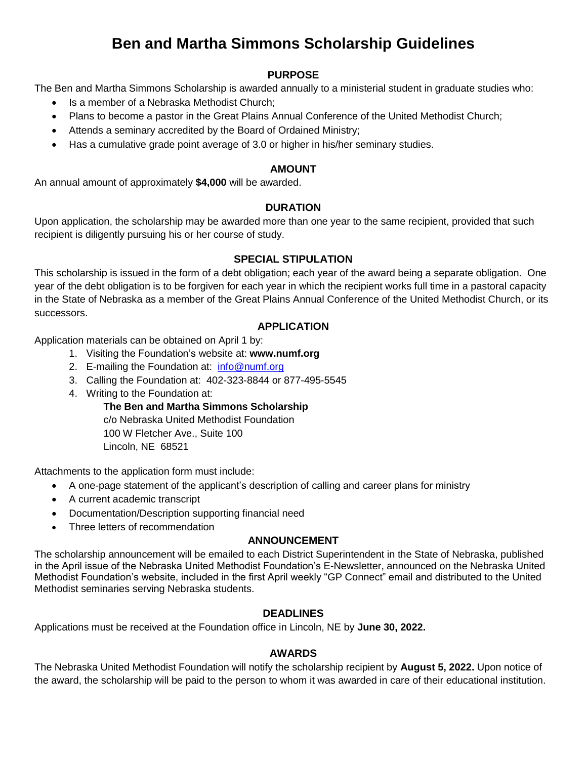# **Ben and Martha Simmons Scholarship Guidelines**

## **PURPOSE**

The Ben and Martha Simmons Scholarship is awarded annually to a ministerial student in graduate studies who:

- Is a member of a Nebraska Methodist Church;
- Plans to become a pastor in the Great Plains Annual Conference of the United Methodist Church;
- Attends a seminary accredited by the Board of Ordained Ministry;
- Has a cumulative grade point average of 3.0 or higher in his/her seminary studies.

#### **AMOUNT**

An annual amount of approximately **\$4,000** will be awarded.

### **DURATION**

Upon application, the scholarship may be awarded more than one year to the same recipient, provided that such recipient is diligently pursuing his or her course of study.

### **SPECIAL STIPULATION**

This scholarship is issued in the form of a debt obligation; each year of the award being a separate obligation. One year of the debt obligation is to be forgiven for each year in which the recipient works full time in a pastoral capacity in the State of Nebraska as a member of the Great Plains Annual Conference of the United Methodist Church, or its successors.

#### **APPLICATION**

Application materials can be obtained on April 1 by:

- 1. Visiting the Foundation's website at: **www.numf.org**
- 2. E-mailing the Foundation at: [info@numf.org](mailto:info@numf.org)
- 3. Calling the Foundation at: 402-323-8844 or 877-495-5545
- 4. Writing to the Foundation at:

**The Ben and Martha Simmons Scholarship**

c/o Nebraska United Methodist Foundation 100 W Fletcher Ave., Suite 100 Lincoln, NE 68521

Attachments to the application form must include:

- A one-page statement of the applicant's description of calling and career plans for ministry
- A current academic transcript
- Documentation/Description supporting financial need
- Three letters of recommendation

#### **ANNOUNCEMENT**

The scholarship announcement will be emailed to each District Superintendent in the State of Nebraska, published in the April issue of the Nebraska United Methodist Foundation's E-Newsletter, announced on the Nebraska United Methodist Foundation's website, included in the first April weekly "GP Connect" email and distributed to the United Methodist seminaries serving Nebraska students.

#### **DEADLINES**

Applications must be received at the Foundation office in Lincoln, NE by **June 30, 2022.**

#### **AWARDS**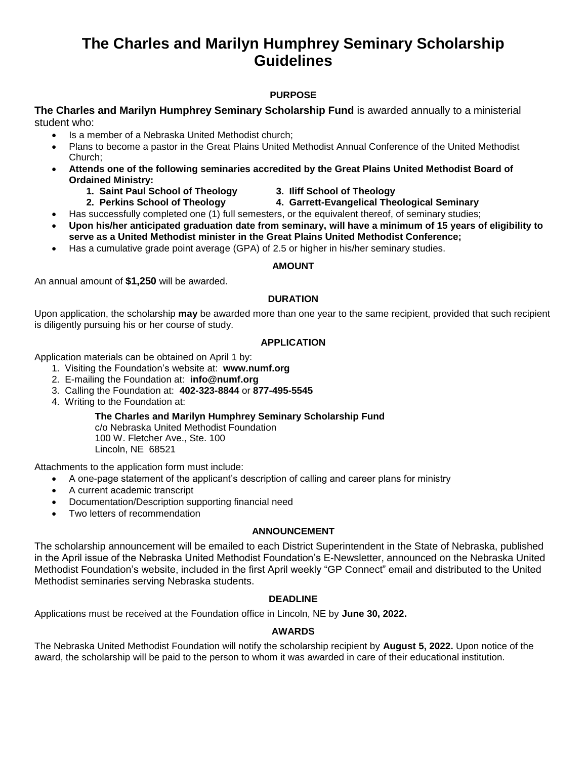## **The Charles and Marilyn Humphrey Seminary Scholarship Guidelines**

## **PURPOSE**

### **The Charles and Marilyn Humphrey Seminary Scholarship Fund** is awarded annually to a ministerial student who:

- Is a member of a Nebraska United Methodist church;
- Plans to become a pastor in the Great Plains United Methodist Annual Conference of the United Methodist Church;
- **Attends one of the following seminaries accredited by the Great Plains United Methodist Board of Ordained Ministry:**
	- **1. Saint Paul School of Theology 3. Iliff School of Theology**
- - **2. Perkins School of Theology 4. Garrett-Evangelical Theological Seminary**
- - Has successfully completed one (1) full semesters, or the equivalent thereof, of seminary studies;
- **Upon his/her anticipated graduation date from seminary, will have a minimum of 15 years of eligibility to serve as a United Methodist minister in the Great Plains United Methodist Conference;**
- Has a cumulative grade point average (GPA) of 2.5 or higher in his/her seminary studies.

#### **AMOUNT**

An annual amount of **\$1,250** will be awarded.

#### **DURATION**

Upon application, the scholarship **may** be awarded more than one year to the same recipient, provided that such recipient is diligently pursuing his or her course of study.

#### **APPLICATION**

Application materials can be obtained on April 1 by:

- 1. Visiting the Foundation's website at: **www.numf.org**
- 2. E-mailing the Foundation at: **info@numf.org**
- 3. Calling the Foundation at: **402-323-8844** or **877-495-5545**
- 4. Writing to the Foundation at:

**The Charles and Marilyn Humphrey Seminary Scholarship Fund**

c/o Nebraska United Methodist Foundation 100 W. Fletcher Ave., Ste. 100 Lincoln, NE 68521

Attachments to the application form must include:

- A one-page statement of the applicant's description of calling and career plans for ministry
- A current academic transcript
- Documentation/Description supporting financial need
- Two letters of recommendation

#### **ANNOUNCEMENT**

The scholarship announcement will be emailed to each District Superintendent in the State of Nebraska, published in the April issue of the Nebraska United Methodist Foundation's E-Newsletter, announced on the Nebraska United Methodist Foundation's website, included in the first April weekly "GP Connect" email and distributed to the United Methodist seminaries serving Nebraska students.

#### **DEADLINE**

Applications must be received at the Foundation office in Lincoln, NE by **June 30, 2022.** 

#### **AWARDS**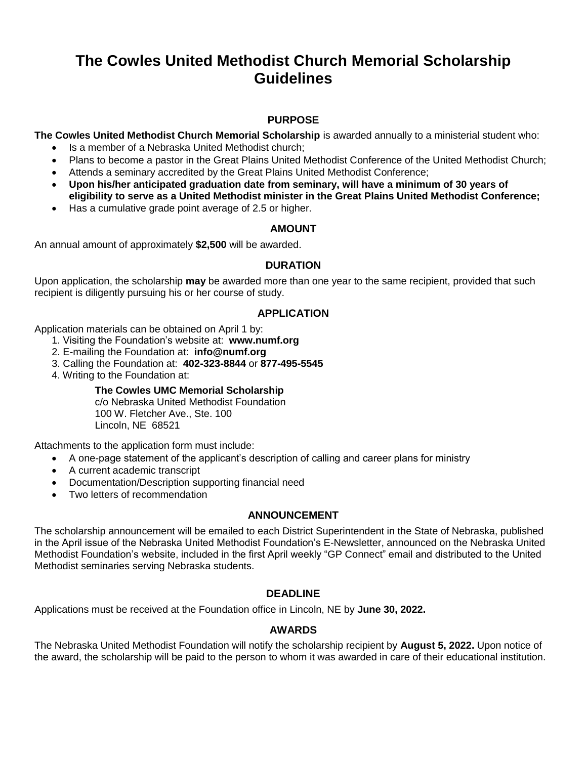# **The Cowles United Methodist Church Memorial Scholarship Guidelines**

## **PURPOSE**

**The Cowles United Methodist Church Memorial Scholarship** is awarded annually to a ministerial student who:

- Is a member of a Nebraska United Methodist church;
- Plans to become a pastor in the Great Plains United Methodist Conference of the United Methodist Church;
- Attends a seminary accredited by the Great Plains United Methodist Conference;
- **Upon his/her anticipated graduation date from seminary, will have a minimum of 30 years of eligibility to serve as a United Methodist minister in the Great Plains United Methodist Conference;**
- Has a cumulative grade point average of 2.5 or higher.

## **AMOUNT**

An annual amount of approximately **\$2,500** will be awarded.

## **DURATION**

Upon application, the scholarship **may** be awarded more than one year to the same recipient, provided that such recipient is diligently pursuing his or her course of study.

### **APPLICATION**

Application materials can be obtained on April 1 by:

- 1. Visiting the Foundation's website at: **www.numf.org**
- 2. E-mailing the Foundation at: **info@numf.org**
- 3. Calling the Foundation at: **402-323-8844** or **877-495-5545**
- 4. Writing to the Foundation at:

## **The Cowles UMC Memorial Scholarship**

c/o Nebraska United Methodist Foundation 100 W. Fletcher Ave., Ste. 100 Lincoln, NE 68521

Attachments to the application form must include:

- A one-page statement of the applicant's description of calling and career plans for ministry
- A current academic transcript
- Documentation/Description supporting financial need
- Two letters of recommendation

#### **ANNOUNCEMENT**

The scholarship announcement will be emailed to each District Superintendent in the State of Nebraska, published in the April issue of the Nebraska United Methodist Foundation's E-Newsletter, announced on the Nebraska United Methodist Foundation's website, included in the first April weekly "GP Connect" email and distributed to the United Methodist seminaries serving Nebraska students.

## **DEADLINE**

Applications must be received at the Foundation office in Lincoln, NE by **June 30, 2022.** 

## **AWARDS**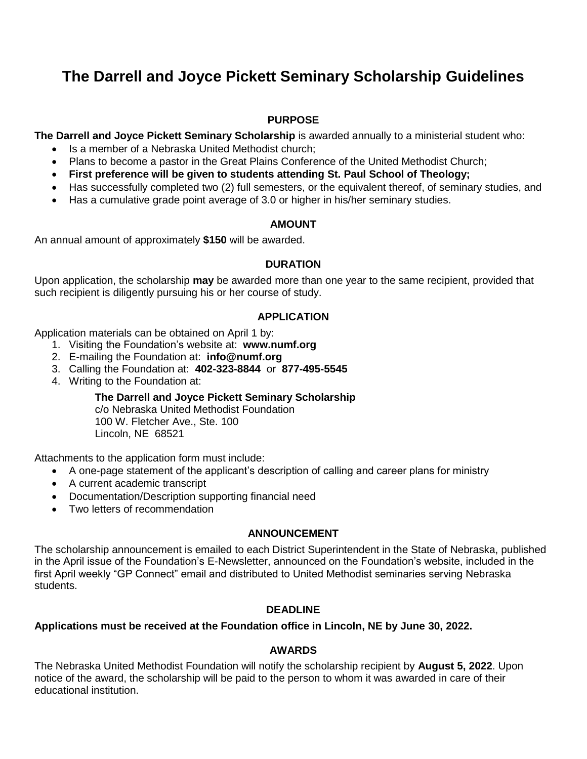# **The Darrell and Joyce Pickett Seminary Scholarship Guidelines**

## **PURPOSE**

**The Darrell and Joyce Pickett Seminary Scholarship** is awarded annually to a ministerial student who:

- Is a member of a Nebraska United Methodist church:
- Plans to become a pastor in the Great Plains Conference of the United Methodist Church;
- **First preference will be given to students attending St. Paul School of Theology;**
- Has successfully completed two (2) full semesters, or the equivalent thereof, of seminary studies, and
- Has a cumulative grade point average of 3.0 or higher in his/her seminary studies.

## **AMOUNT**

An annual amount of approximately **\$150** will be awarded.

## **DURATION**

Upon application, the scholarship **may** be awarded more than one year to the same recipient, provided that such recipient is diligently pursuing his or her course of study.

## **APPLICATION**

Application materials can be obtained on April 1 by:

- 1. Visiting the Foundation's website at: **www.numf.org**
- 2. E-mailing the Foundation at: **info@numf.org**
- 3. Calling the Foundation at: **402-323-8844** or **877-495-5545**
- 4. Writing to the Foundation at:

**The Darrell and Joyce Pickett Seminary Scholarship**

c/o Nebraska United Methodist Foundation 100 W. Fletcher Ave., Ste. 100 Lincoln, NE 68521

Attachments to the application form must include:

- A one-page statement of the applicant's description of calling and career plans for ministry
- A current academic transcript
- Documentation/Description supporting financial need
- Two letters of recommendation

## **ANNOUNCEMENT**

The scholarship announcement is emailed to each District Superintendent in the State of Nebraska, published in the April issue of the Foundation's E-Newsletter, announced on the Foundation's website, included in the first April weekly "GP Connect" email and distributed to United Methodist seminaries serving Nebraska students.

## **DEADLINE**

## **Applications must be received at the Foundation office in Lincoln, NE by June 30, 2022.**

## **AWARDS**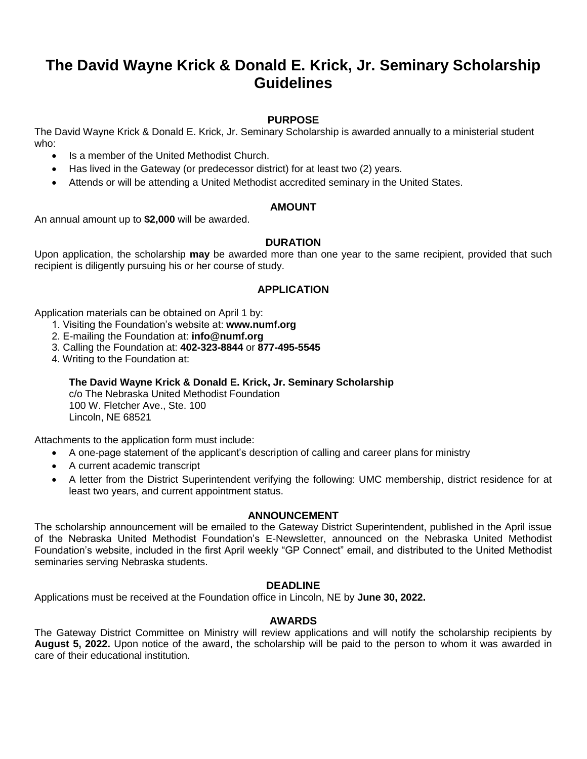## **The David Wayne Krick & Donald E. Krick, Jr. Seminary Scholarship Guidelines**

## **PURPOSE**

The David Wayne Krick & Donald E. Krick, Jr. Seminary Scholarship is awarded annually to a ministerial student who:

- Is a member of the United Methodist Church.
- Has lived in the Gateway (or predecessor district) for at least two (2) years.
- Attends or will be attending a United Methodist accredited seminary in the United States.

### **AMOUNT**

An annual amount up to **\$2,000** will be awarded.

### **DURATION**

Upon application, the scholarship **may** be awarded more than one year to the same recipient, provided that such recipient is diligently pursuing his or her course of study.

### **APPLICATION**

Application materials can be obtained on April 1 by:

- 1. Visiting the Foundation's website at: **www.numf.org**
- 2. E-mailing the Foundation at: **info@numf.org**
- 3. Calling the Foundation at: **402-323-8844** or **877-495-5545**
- 4. Writing to the Foundation at:

**The David Wayne Krick & Donald E. Krick, Jr. Seminary Scholarship**

c/o The Nebraska United Methodist Foundation 100 W. Fletcher Ave., Ste. 100 Lincoln, NE 68521

Attachments to the application form must include:

- A one-page statement of the applicant's description of calling and career plans for ministry
- A current academic transcript
- A letter from the District Superintendent verifying the following: UMC membership, district residence for at least two years, and current appointment status.

#### **ANNOUNCEMENT**

The scholarship announcement will be emailed to the Gateway District Superintendent, published in the April issue of the Nebraska United Methodist Foundation's E-Newsletter, announced on the Nebraska United Methodist Foundation's website, included in the first April weekly "GP Connect" email, and distributed to the United Methodist seminaries serving Nebraska students.

#### **DEADLINE**

Applications must be received at the Foundation office in Lincoln, NE by **June 30, 2022.** 

#### **AWARDS**

The Gateway District Committee on Ministry will review applications and will notify the scholarship recipients by **August 5, 2022.** Upon notice of the award, the scholarship will be paid to the person to whom it was awarded in care of their educational institution.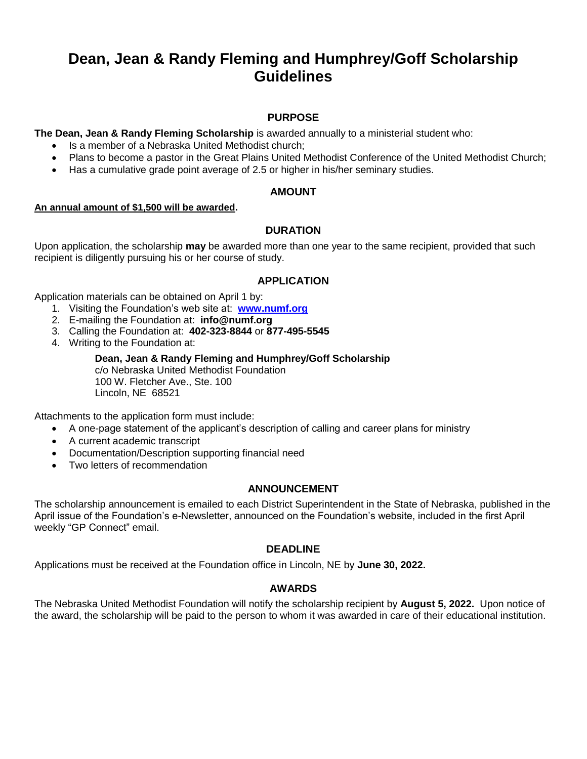# **Dean, Jean & Randy Fleming and Humphrey/Goff Scholarship Guidelines**

## **PURPOSE**

**The Dean, Jean & Randy Fleming Scholarship** is awarded annually to a ministerial student who:

- Is a member of a Nebraska United Methodist church;
- Plans to become a pastor in the Great Plains United Methodist Conference of the United Methodist Church;
- Has a cumulative grade point average of 2.5 or higher in his/her seminary studies.

#### **AMOUNT**

#### **An annual amount of \$1,500 will be awarded.**

## **DURATION**

Upon application, the scholarship **may** be awarded more than one year to the same recipient, provided that such recipient is diligently pursuing his or her course of study.

### **APPLICATION**

Application materials can be obtained on April 1 by:

- 1. Visiting the Foundation's web site at: **[www.numf.org](http://www.numf.org/)**
- 2. E-mailing the Foundation at: **info@numf.org**
- 3. Calling the Foundation at: **402-323-8844** or **877-495-5545**
- 4. Writing to the Foundation at:

#### **Dean, Jean & Randy Fleming and Humphrey/Goff Scholarship**

c/o Nebraska United Methodist Foundation 100 W. Fletcher Ave., Ste. 100 Lincoln, NE 68521

Attachments to the application form must include:

- A one-page statement of the applicant's description of calling and career plans for ministry
- A current academic transcript
- Documentation/Description supporting financial need
- Two letters of recommendation

#### **ANNOUNCEMENT**

The scholarship announcement is emailed to each District Superintendent in the State of Nebraska, published in the April issue of the Foundation's e-Newsletter, announced on the Foundation's website, included in the first April weekly "GP Connect" email.

#### **DEADLINE**

Applications must be received at the Foundation office in Lincoln, NE by **June 30, 2022.** 

#### **AWARDS**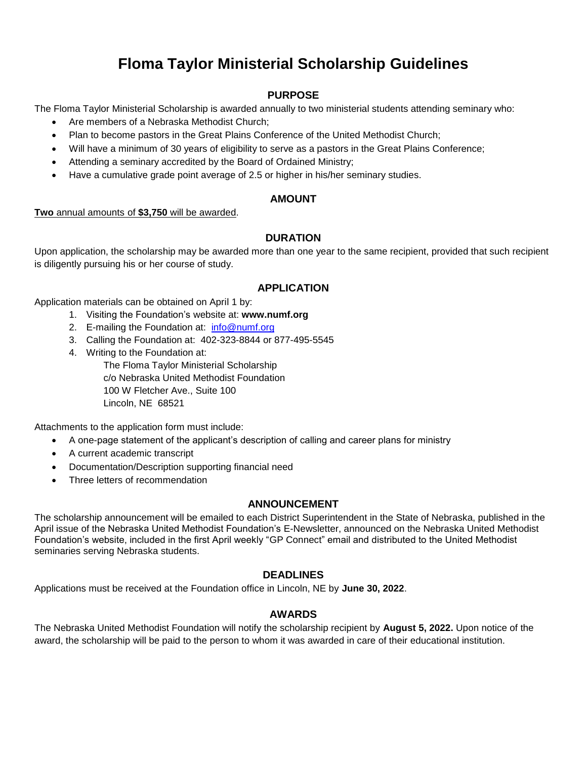# **Floma Taylor Ministerial Scholarship Guidelines**

## **PURPOSE**

The Floma Taylor Ministerial Scholarship is awarded annually to two ministerial students attending seminary who:

- Are members of a Nebraska Methodist Church;
- Plan to become pastors in the Great Plains Conference of the United Methodist Church;
- Will have a minimum of 30 years of eligibility to serve as a pastors in the Great Plains Conference;
- Attending a seminary accredited by the Board of Ordained Ministry;
- Have a cumulative grade point average of 2.5 or higher in his/her seminary studies.

### **AMOUNT**

#### **Two** annual amounts of **\$3,750** will be awarded.

## **DURATION**

Upon application, the scholarship may be awarded more than one year to the same recipient, provided that such recipient is diligently pursuing his or her course of study.

## **APPLICATION**

Application materials can be obtained on April 1 by:

- 1. Visiting the Foundation's website at: **www.numf.org**
- 2. E-mailing the Foundation at: [info@numf.org](mailto:info@numf.org)
- 3. Calling the Foundation at: 402-323-8844 or 877-495-5545
- 4. Writing to the Foundation at:

The Floma Taylor Ministerial Scholarship c/o Nebraska United Methodist Foundation 100 W Fletcher Ave., Suite 100 Lincoln, NE 68521

Attachments to the application form must include:

- A one-page statement of the applicant's description of calling and career plans for ministry
- A current academic transcript
- Documentation/Description supporting financial need
- Three letters of recommendation

#### **ANNOUNCEMENT**

The scholarship announcement will be emailed to each District Superintendent in the State of Nebraska, published in the April issue of the Nebraska United Methodist Foundation's E-Newsletter, announced on the Nebraska United Methodist Foundation's website, included in the first April weekly "GP Connect" email and distributed to the United Methodist seminaries serving Nebraska students.

## **DEADLINES**

Applications must be received at the Foundation office in Lincoln, NE by **June 30, 2022**.

## **AWARDS**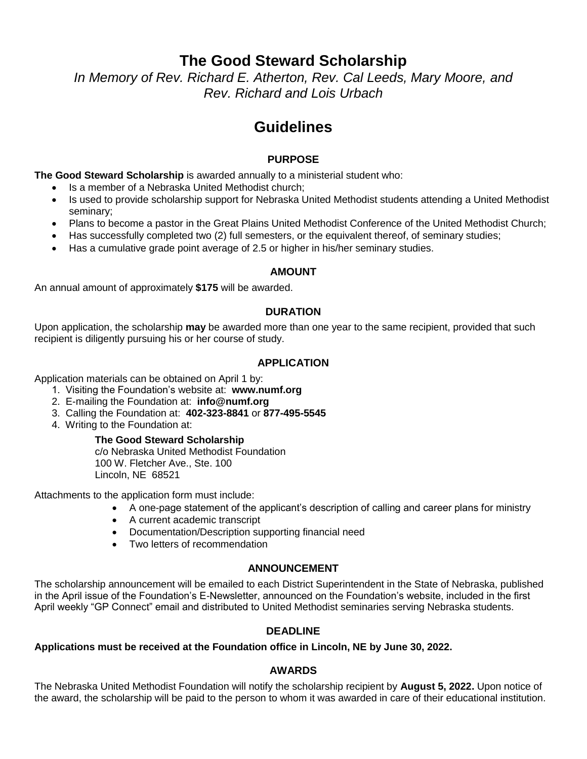## **The Good Steward Scholarship**

*In Memory of Rev. Richard E. Atherton, Rev. Cal Leeds, Mary Moore, and Rev. Richard and Lois Urbach*

# **Guidelines**

## **PURPOSE**

**The Good Steward Scholarship** is awarded annually to a ministerial student who:

- Is a member of a Nebraska United Methodist church;
- Is used to provide scholarship support for Nebraska United Methodist students attending a United Methodist seminary;
- Plans to become a pastor in the Great Plains United Methodist Conference of the United Methodist Church;
- Has successfully completed two (2) full semesters, or the equivalent thereof, of seminary studies;
- Has a cumulative grade point average of 2.5 or higher in his/her seminary studies.

## **AMOUNT**

An annual amount of approximately **\$175** will be awarded.

## **DURATION**

Upon application, the scholarship **may** be awarded more than one year to the same recipient, provided that such recipient is diligently pursuing his or her course of study.

## **APPLICATION**

Application materials can be obtained on April 1 by:

- 1. Visiting the Foundation's website at: **www.numf.org**
- 2. E-mailing the Foundation at: **info@numf.org**
- 3. Calling the Foundation at: **402-323-8841** or **877-495-5545**
- 4. Writing to the Foundation at:

#### **The Good Steward Scholarship**

c/o Nebraska United Methodist Foundation 100 W. Fletcher Ave., Ste. 100 Lincoln, NE 68521

Attachments to the application form must include:

- A one-page statement of the applicant's description of calling and career plans for ministry
- A current academic transcript
- Documentation/Description supporting financial need
- Two letters of recommendation

## **ANNOUNCEMENT**

The scholarship announcement will be emailed to each District Superintendent in the State of Nebraska, published in the April issue of the Foundation's E-Newsletter, announced on the Foundation's website, included in the first April weekly "GP Connect" email and distributed to United Methodist seminaries serving Nebraska students.

## **DEADLINE**

## **Applications must be received at the Foundation office in Lincoln, NE by June 30, 2022.**

## **AWARDS**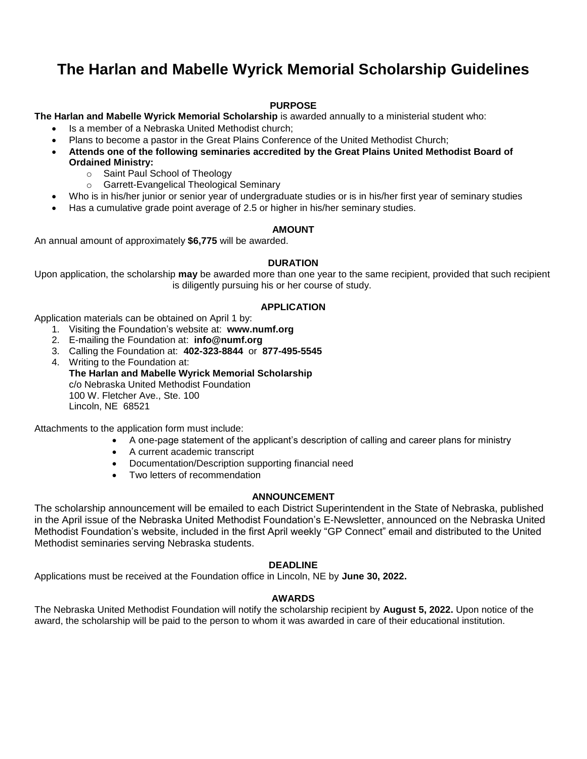# **The Harlan and Mabelle Wyrick Memorial Scholarship Guidelines**

### **PURPOSE**

#### **The Harlan and Mabelle Wyrick Memorial Scholarship** is awarded annually to a ministerial student who:

- Is a member of a Nebraska United Methodist church;
- Plans to become a pastor in the Great Plains Conference of the United Methodist Church;
- **Attends one of the following seminaries accredited by the Great Plains United Methodist Board of** 
	- **Ordained Ministry:** o Saint Paul School of Theology
		-
		- o Garrett-Evangelical Theological Seminary
- Who is in his/her junior or senior year of undergraduate studies or is in his/her first year of seminary studies
- Has a cumulative grade point average of 2.5 or higher in his/her seminary studies.

#### **AMOUNT**

An annual amount of approximately **\$6,775** will be awarded.

#### **DURATION**

Upon application, the scholarship **may** be awarded more than one year to the same recipient, provided that such recipient is diligently pursuing his or her course of study.

#### **APPLICATION**

Application materials can be obtained on April 1 by:

- 1. Visiting the Foundation's website at: **www.numf.org**
- 2. E-mailing the Foundation at: **info@numf.org**
- 3. Calling the Foundation at: **402-323-8844** or **877-495-5545**
- 4. Writing to the Foundation at: **The Harlan and Mabelle Wyrick Memorial Scholarship** c/o Nebraska United Methodist Foundation 100 W. Fletcher Ave., Ste. 100 Lincoln, NE 68521

Attachments to the application form must include:

- A one-page statement of the applicant's description of calling and career plans for ministry
- A current academic transcript
- Documentation/Description supporting financial need
- Two letters of recommendation

#### **ANNOUNCEMENT**

The scholarship announcement will be emailed to each District Superintendent in the State of Nebraska, published in the April issue of the Nebraska United Methodist Foundation's E-Newsletter, announced on the Nebraska United Methodist Foundation's website, included in the first April weekly "GP Connect" email and distributed to the United Methodist seminaries serving Nebraska students.

#### **DEADLINE**

Applications must be received at the Foundation office in Lincoln, NE by **June 30, 2022.** 

#### **AWARDS**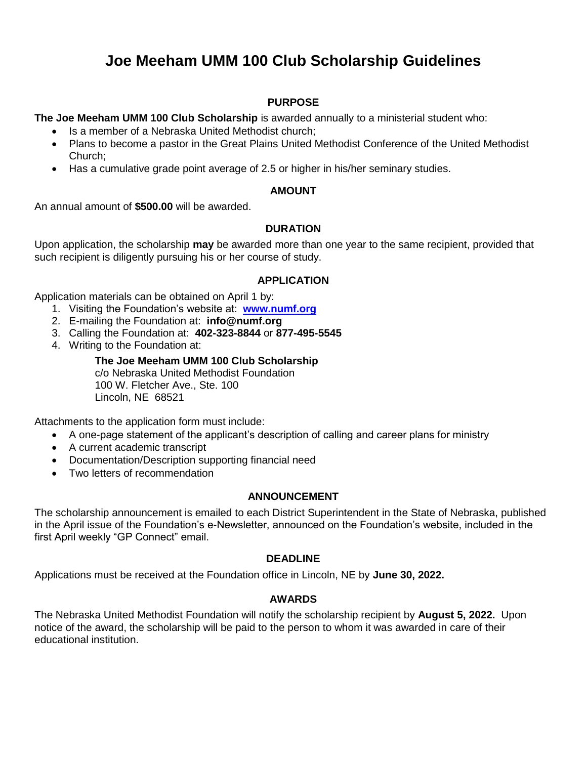# **Joe Meeham UMM 100 Club Scholarship Guidelines**

## **PURPOSE**

**The Joe Meeham UMM 100 Club Scholarship** is awarded annually to a ministerial student who:

- Is a member of a Nebraska United Methodist church;
- Plans to become a pastor in the Great Plains United Methodist Conference of the United Methodist Church;
- Has a cumulative grade point average of 2.5 or higher in his/her seminary studies.

### **AMOUNT**

An annual amount of **\$500.00** will be awarded.

## **DURATION**

Upon application, the scholarship **may** be awarded more than one year to the same recipient, provided that such recipient is diligently pursuing his or her course of study.

### **APPLICATION**

Application materials can be obtained on April 1 by:

- 1. Visiting the Foundation's website at: **[www.numf.org](http://www.numf.org/)**
- 2. E-mailing the Foundation at: **info@numf.org**
- 3. Calling the Foundation at: **402-323-8844** or **877-495-5545**
- 4. Writing to the Foundation at:

**The Joe Meeham UMM 100 Club Scholarship** c/o Nebraska United Methodist Foundation 100 W. Fletcher Ave., Ste. 100 Lincoln, NE 68521

Attachments to the application form must include:

- A one-page statement of the applicant's description of calling and career plans for ministry
- A current academic transcript
- Documentation/Description supporting financial need
- Two letters of recommendation

#### **ANNOUNCEMENT**

The scholarship announcement is emailed to each District Superintendent in the State of Nebraska, published in the April issue of the Foundation's e-Newsletter, announced on the Foundation's website, included in the first April weekly "GP Connect" email.

## **DEADLINE**

Applications must be received at the Foundation office in Lincoln, NE by **June 30, 2022.** 

#### **AWARDS**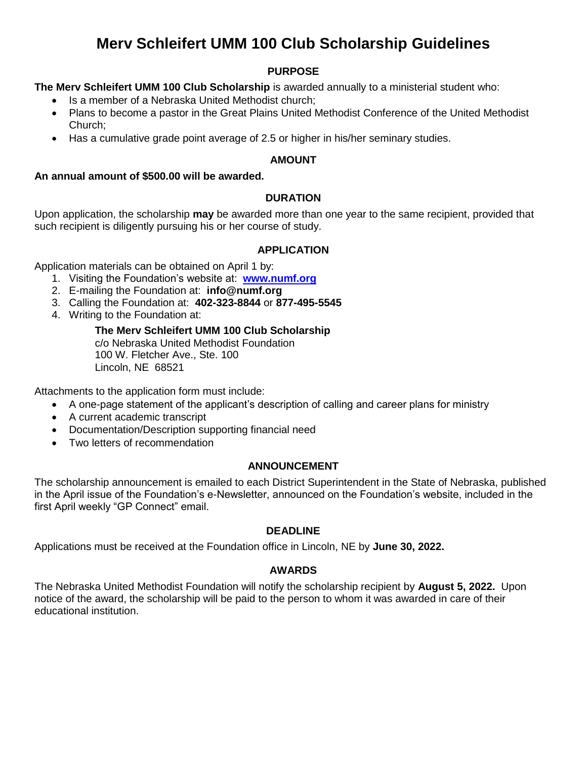# **Merv Schleifert UMM 100 Club Scholarship Guidelines**

## **PURPOSE**

## **The Merv Schleifert UMM 100 Club Scholarship** is awarded annually to a ministerial student who:

- Is a member of a Nebraska United Methodist church;
- Plans to become a pastor in the Great Plains United Methodist Conference of the United Methodist Church;
- Has a cumulative grade point average of 2.5 or higher in his/her seminary studies.

## **AMOUNT**

## **An annual amount of \$500.00 will be awarded.**

## **DURATION**

Upon application, the scholarship **may** be awarded more than one year to the same recipient, provided that such recipient is diligently pursuing his or her course of study.

## **APPLICATION**

Application materials can be obtained on April 1 by:

- 1. Visiting the Foundation's website at: **[www.numf.org](http://www.numf.org/)**
- 2. E-mailing the Foundation at: **info@numf.org**
- 3. Calling the Foundation at: **402-323-8844** or **877-495-5545**
- 4. Writing to the Foundation at:

## **The Merv Schleifert UMM 100 Club Scholarship** c/o Nebraska United Methodist Foundation 100 W. Fletcher Ave., Ste. 100 Lincoln, NE 68521

Attachments to the application form must include:

- A one-page statement of the applicant's description of calling and career plans for ministry
- A current academic transcript
- Documentation/Description supporting financial need
- Two letters of recommendation

## **ANNOUNCEMENT**

The scholarship announcement is emailed to each District Superintendent in the State of Nebraska, published in the April issue of the Foundation's e-Newsletter, announced on the Foundation's website, included in the first April weekly "GP Connect" email.

## **DEADLINE**

Applications must be received at the Foundation office in Lincoln, NE by **June 30, 2022.** 

## **AWARDS**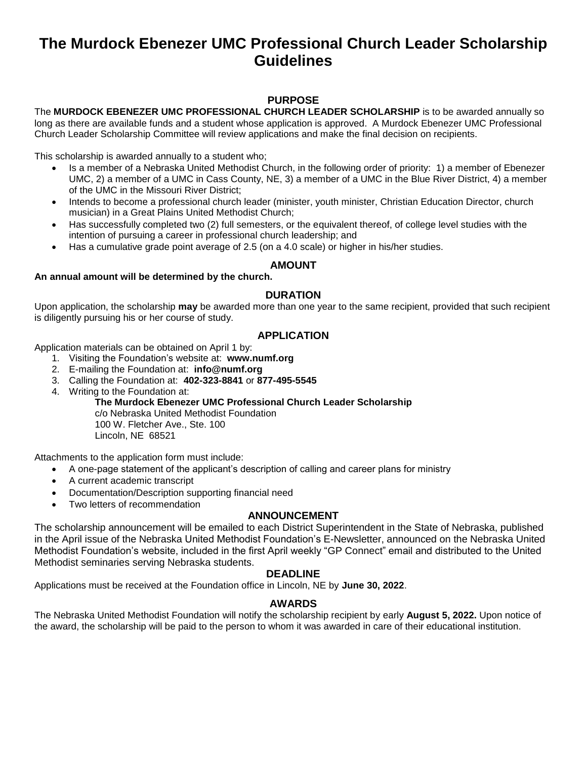## **The Murdock Ebenezer UMC Professional Church Leader Scholarship Guidelines**

## **PURPOSE**

The **MURDOCK EBENEZER UMC PROFESSIONAL CHURCH LEADER SCHOLARSHIP** is to be awarded annually so long as there are available funds and a student whose application is approved. A Murdock Ebenezer UMC Professional Church Leader Scholarship Committee will review applications and make the final decision on recipients.

This scholarship is awarded annually to a student who;

- Is a member of a Nebraska United Methodist Church, in the following order of priority: 1) a member of Ebenezer UMC, 2) a member of a UMC in Cass County, NE, 3) a member of a UMC in the Blue River District, 4) a member of the UMC in the Missouri River District;
- Intends to become a professional church leader (minister, youth minister, Christian Education Director, church musician) in a Great Plains United Methodist Church;
- Has successfully completed two (2) full semesters, or the equivalent thereof, of college level studies with the intention of pursuing a career in professional church leadership; and
- Has a cumulative grade point average of 2.5 (on a 4.0 scale) or higher in his/her studies.

#### **AMOUNT**

#### **An annual amount will be determined by the church.**

#### **DURATION**

Upon application, the scholarship **may** be awarded more than one year to the same recipient, provided that such recipient is diligently pursuing his or her course of study.

### **APPLICATION**

Application materials can be obtained on April 1 by:

- 1. Visiting the Foundation's website at: **www.numf.org**
- 2. E-mailing the Foundation at: **info@numf.org**
- 3. Calling the Foundation at: **402-323-8841** or **877-495-5545**
- 4. Writing to the Foundation at:

**The Murdock Ebenezer UMC Professional Church Leader Scholarship** c/o Nebraska United Methodist Foundation 100 W. Fletcher Ave., Ste. 100 Lincoln, NE 68521

Attachments to the application form must include:

- A one-page statement of the applicant's description of calling and career plans for ministry
- A current academic transcript
- Documentation/Description supporting financial need
- Two letters of recommendation

#### **ANNOUNCEMENT**

The scholarship announcement will be emailed to each District Superintendent in the State of Nebraska, published in the April issue of the Nebraska United Methodist Foundation's E-Newsletter, announced on the Nebraska United Methodist Foundation's website, included in the first April weekly "GP Connect" email and distributed to the United Methodist seminaries serving Nebraska students.

#### **DEADLINE**

Applications must be received at the Foundation office in Lincoln, NE by **June 30, 2022**.

#### **AWARDS**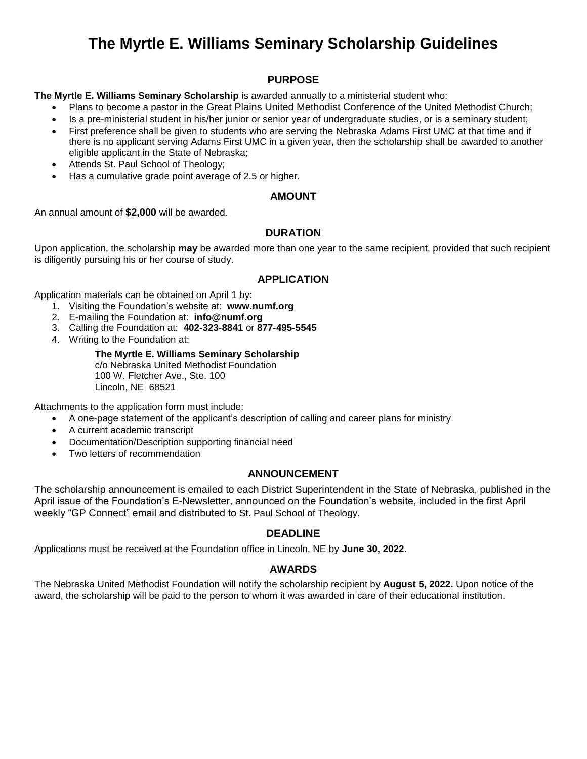# **The Myrtle E. Williams Seminary Scholarship Guidelines**

## **PURPOSE**

**The Myrtle E. Williams Seminary Scholarship** is awarded annually to a ministerial student who:

- Plans to become a pastor in the Great Plains United Methodist Conference of the United Methodist Church;
- Is a pre-ministerial student in his/her junior or senior year of undergraduate studies, or is a seminary student;
- First preference shall be given to students who are serving the Nebraska Adams First UMC at that time and if there is no applicant serving Adams First UMC in a given year, then the scholarship shall be awarded to another eligible applicant in the State of Nebraska;
- Attends St. Paul School of Theology;
- Has a cumulative grade point average of 2.5 or higher.

### **AMOUNT**

An annual amount of **\$2,000** will be awarded.

## **DURATION**

Upon application, the scholarship **may** be awarded more than one year to the same recipient, provided that such recipient is diligently pursuing his or her course of study.

### **APPLICATION**

Application materials can be obtained on April 1 by:

- 1. Visiting the Foundation's website at: **www.numf.org**
- 2. E-mailing the Foundation at: **info@numf.org**
- 3. Calling the Foundation at: **402-323-8841** or **877-495-5545**
- 4. Writing to the Foundation at:

#### **The Myrtle E. Williams Seminary Scholarship** c/o Nebraska United Methodist Foundation 100 W. Fletcher Ave., Ste. 100 Lincoln, NE 68521

Attachments to the application form must include:

- A one-page statement of the applicant's description of calling and career plans for ministry
- A current academic transcript
- Documentation/Description supporting financial need
- Two letters of recommendation

## **ANNOUNCEMENT**

The scholarship announcement is emailed to each District Superintendent in the State of Nebraska, published in the April issue of the Foundation's E-Newsletter, announced on the Foundation's website, included in the first April weekly "GP Connect" email and distributed to St. Paul School of Theology.

## **DEADLINE**

Applications must be received at the Foundation office in Lincoln, NE by **June 30, 2022.** 

## **AWARDS**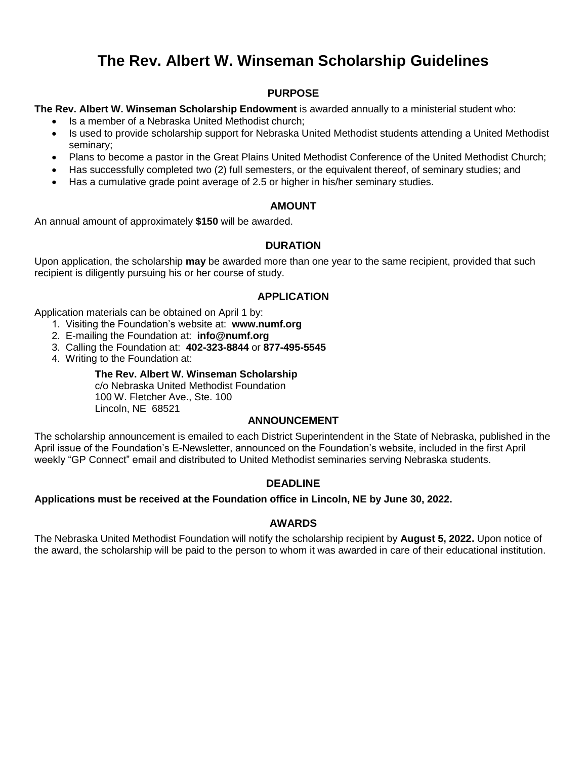# **The Rev. Albert W. Winseman Scholarship Guidelines**

## **PURPOSE**

**The Rev. Albert W. Winseman Scholarship Endowment** is awarded annually to a ministerial student who:

- Is a member of a Nebraska United Methodist church;
- Is used to provide scholarship support for Nebraska United Methodist students attending a United Methodist seminary;
- Plans to become a pastor in the Great Plains United Methodist Conference of the United Methodist Church;
- Has successfully completed two (2) full semesters, or the equivalent thereof, of seminary studies; and
- Has a cumulative grade point average of 2.5 or higher in his/her seminary studies.

## **AMOUNT**

An annual amount of approximately **\$150** will be awarded.

## **DURATION**

Upon application, the scholarship **may** be awarded more than one year to the same recipient, provided that such recipient is diligently pursuing his or her course of study.

### **APPLICATION**

Application materials can be obtained on April 1 by:

- 1. Visiting the Foundation's website at: **www.numf.org**
- 2. E-mailing the Foundation at: **info@numf.org**
- 3. Calling the Foundation at: **402-323-8844** or **877-495-5545**
- 4. Writing to the Foundation at:

#### **The Rev. Albert W. Winseman Scholarship**

c/o Nebraska United Methodist Foundation 100 W. Fletcher Ave., Ste. 100 Lincoln, NE 68521

#### **ANNOUNCEMENT**

The scholarship announcement is emailed to each District Superintendent in the State of Nebraska, published in the April issue of the Foundation's E-Newsletter, announced on the Foundation's website, included in the first April weekly "GP Connect" email and distributed to United Methodist seminaries serving Nebraska students.

## **DEADLINE**

#### **Applications must be received at the Foundation office in Lincoln, NE by June 30, 2022.**

#### **AWARDS**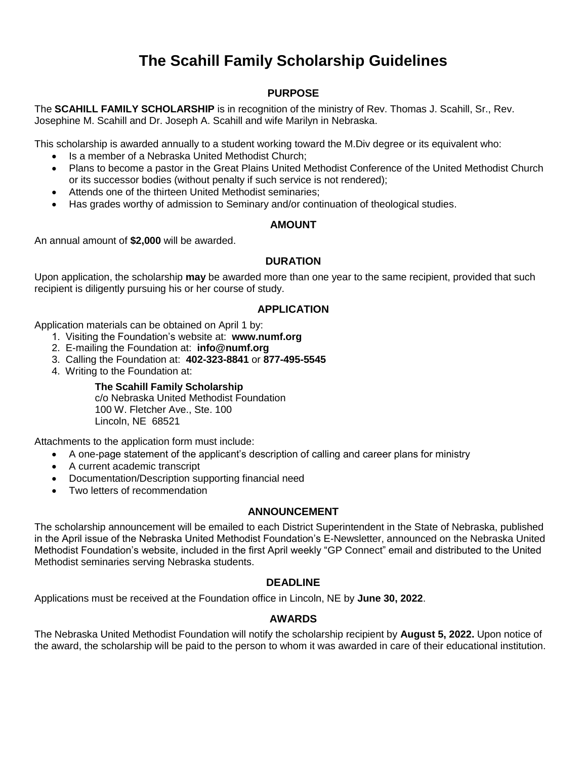# **The Scahill Family Scholarship Guidelines**

## **PURPOSE**

The **SCAHILL FAMILY SCHOLARSHIP** is in recognition of the ministry of Rev. Thomas J. Scahill, Sr., Rev. Josephine M. Scahill and Dr. Joseph A. Scahill and wife Marilyn in Nebraska.

This scholarship is awarded annually to a student working toward the M.Div degree or its equivalent who:

- Is a member of a Nebraska United Methodist Church;
- Plans to become a pastor in the Great Plains United Methodist Conference of the United Methodist Church or its successor bodies (without penalty if such service is not rendered);
- Attends one of the thirteen United Methodist seminaries;
- Has grades worthy of admission to Seminary and/or continuation of theological studies.

### **AMOUNT**

An annual amount of **\$2,000** will be awarded.

### **DURATION**

Upon application, the scholarship **may** be awarded more than one year to the same recipient, provided that such recipient is diligently pursuing his or her course of study.

### **APPLICATION**

Application materials can be obtained on April 1 by:

- 1. Visiting the Foundation's website at: **www.numf.org**
- 2. E-mailing the Foundation at: **info@numf.org**
- 3. Calling the Foundation at: **402-323-8841** or **877-495-5545**
- 4. Writing to the Foundation at:

## **The Scahill Family Scholarship**

c/o Nebraska United Methodist Foundation 100 W. Fletcher Ave., Ste. 100 Lincoln, NE 68521

Attachments to the application form must include:

- A one-page statement of the applicant's description of calling and career plans for ministry
- A current academic transcript
- Documentation/Description supporting financial need
- Two letters of recommendation

## **ANNOUNCEMENT**

The scholarship announcement will be emailed to each District Superintendent in the State of Nebraska, published in the April issue of the Nebraska United Methodist Foundation's E-Newsletter, announced on the Nebraska United Methodist Foundation's website, included in the first April weekly "GP Connect" email and distributed to the United Methodist seminaries serving Nebraska students.

## **DEADLINE**

Applications must be received at the Foundation office in Lincoln, NE by **June 30, 2022**.

## **AWARDS**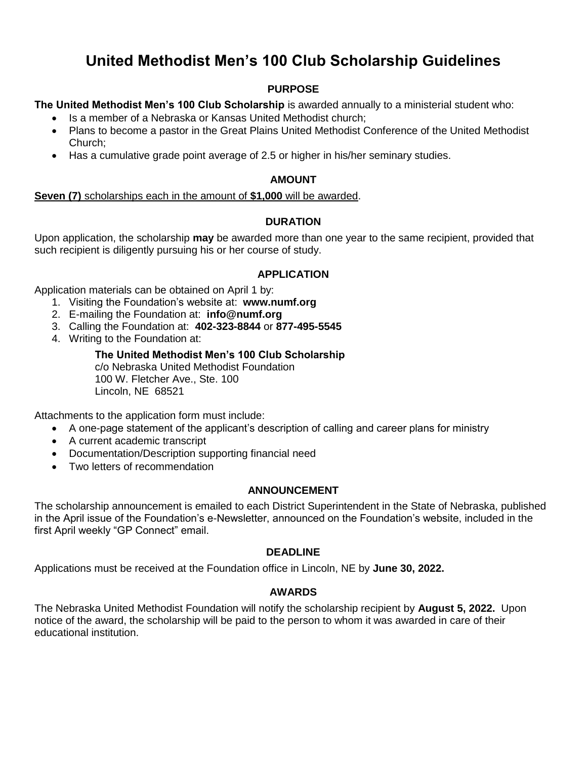# **United Methodist Men's 100 Club Scholarship Guidelines**

## **PURPOSE**

**The United Methodist Men's 100 Club Scholarship** is awarded annually to a ministerial student who:

- Is a member of a Nebraska or Kansas United Methodist church:
- Plans to become a pastor in the Great Plains United Methodist Conference of the United Methodist Church;
- Has a cumulative grade point average of 2.5 or higher in his/her seminary studies.

## **AMOUNT**

**Seven (7)** scholarships each in the amount of **\$1,000** will be awarded.

## **DURATION**

Upon application, the scholarship **may** be awarded more than one year to the same recipient, provided that such recipient is diligently pursuing his or her course of study.

## **APPLICATION**

Application materials can be obtained on April 1 by:

- 1. Visiting the Foundation's website at: **www.numf.org**
- 2. E-mailing the Foundation at: **info@numf.org**
- 3. Calling the Foundation at: **402-323-8844** or **877-495-5545**
- 4. Writing to the Foundation at:

## **The United Methodist Men's 100 Club Scholarship** c/o Nebraska United Methodist Foundation

100 W. Fletcher Ave., Ste. 100 Lincoln, NE 68521

Attachments to the application form must include:

- A one-page statement of the applicant's description of calling and career plans for ministry
- A current academic transcript
- Documentation/Description supporting financial need
- Two letters of recommendation

## **ANNOUNCEMENT**

The scholarship announcement is emailed to each District Superintendent in the State of Nebraska, published in the April issue of the Foundation's e-Newsletter, announced on the Foundation's website, included in the first April weekly "GP Connect" email.

## **DEADLINE**

Applications must be received at the Foundation office in Lincoln, NE by **June 30, 2022.** 

## **AWARDS**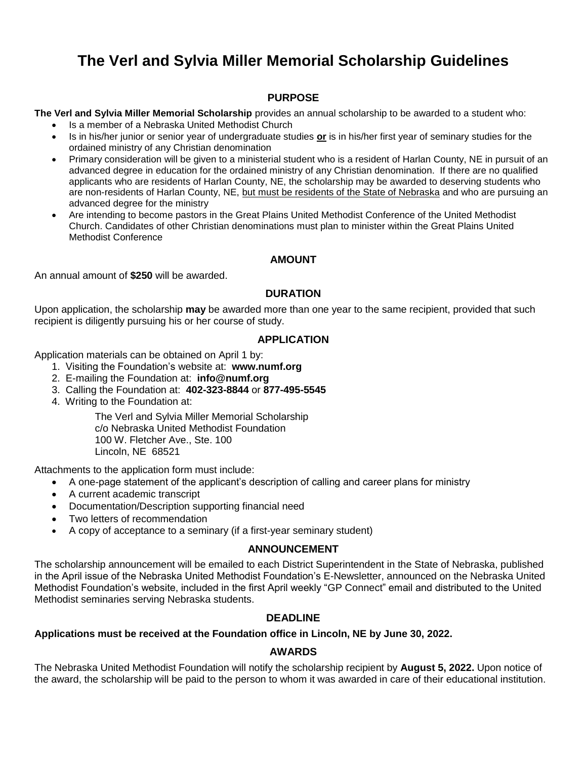# **The Verl and Sylvia Miller Memorial Scholarship Guidelines**

## **PURPOSE**

**The Verl and Sylvia Miller Memorial Scholarship** provides an annual scholarship to be awarded to a student who:

- Is a member of a Nebraska United Methodist Church
- Is in his/her junior or senior year of undergraduate studies **or** is in his/her first year of seminary studies for the ordained ministry of any Christian denomination
- Primary consideration will be given to a ministerial student who is a resident of Harlan County, NE in pursuit of an advanced degree in education for the ordained ministry of any Christian denomination. If there are no qualified applicants who are residents of Harlan County, NE, the scholarship may be awarded to deserving students who are non-residents of Harlan County, NE, but must be residents of the State of Nebraska and who are pursuing an advanced degree for the ministry
- Are intending to become pastors in the Great Plains United Methodist Conference of the United Methodist Church. Candidates of other Christian denominations must plan to minister within the Great Plains United Methodist Conference

#### **AMOUNT**

An annual amount of **\$250** will be awarded.

## **DURATION**

Upon application, the scholarship **may** be awarded more than one year to the same recipient, provided that such recipient is diligently pursuing his or her course of study.

### **APPLICATION**

Application materials can be obtained on April 1 by:

- 1. Visiting the Foundation's website at: **www.numf.org**
- 2. E-mailing the Foundation at: **info@numf.org**
- 3. Calling the Foundation at: **402-323-8844** or **877-495-5545**
- 4. Writing to the Foundation at:

The Verl and Sylvia Miller Memorial Scholarship c/o Nebraska United Methodist Foundation 100 W. Fletcher Ave., Ste. 100 Lincoln, NE 68521

Attachments to the application form must include:

- A one-page statement of the applicant's description of calling and career plans for ministry
- A current academic transcript
- Documentation/Description supporting financial need
- Two letters of recommendation
- A copy of acceptance to a seminary (if a first-year seminary student)

#### **ANNOUNCEMENT**

The scholarship announcement will be emailed to each District Superintendent in the State of Nebraska, published in the April issue of the Nebraska United Methodist Foundation's E-Newsletter, announced on the Nebraska United Methodist Foundation's website, included in the first April weekly "GP Connect" email and distributed to the United Methodist seminaries serving Nebraska students.

#### **DEADLINE**

#### **Applications must be received at the Foundation office in Lincoln, NE by June 30, 2022.**

## **AWARDS**